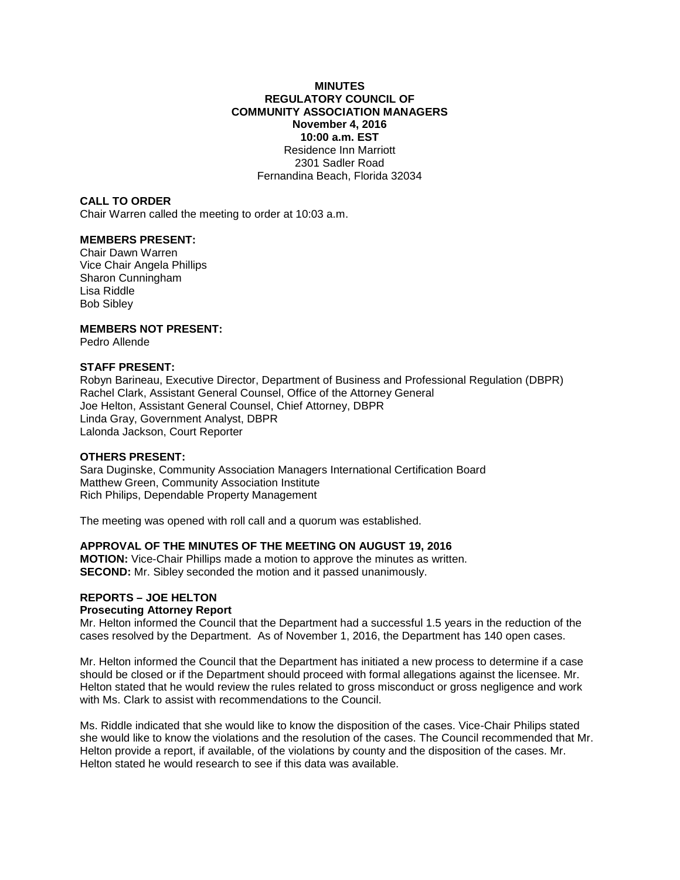## **MINUTES REGULATORY COUNCIL OF COMMUNITY ASSOCIATION MANAGERS November 4, 2016 10:00 a.m. EST** Residence Inn Marriott 2301 Sadler Road Fernandina Beach, Florida 32034

# **CALL TO ORDER**

Chair Warren called the meeting to order at 10:03 a.m.

# **MEMBERS PRESENT:**

Chair Dawn Warren Vice Chair Angela Phillips Sharon Cunningham Lisa Riddle Bob Sibley

# **MEMBERS NOT PRESENT:**

Pedro Allende

# **STAFF PRESENT:**

Robyn Barineau, Executive Director, Department of Business and Professional Regulation (DBPR) Rachel Clark, Assistant General Counsel, Office of the Attorney General Joe Helton, Assistant General Counsel, Chief Attorney, DBPR Linda Gray, Government Analyst, DBPR Lalonda Jackson, Court Reporter

#### **OTHERS PRESENT:**

Sara Duginske, Community Association Managers International Certification Board Matthew Green, Community Association Institute Rich Philips, Dependable Property Management

The meeting was opened with roll call and a quorum was established.

## **APPROVAL OF THE MINUTES OF THE MEETING ON AUGUST 19, 2016**

**MOTION:** Vice-Chair Phillips made a motion to approve the minutes as written. **SECOND:** Mr. Sibley seconded the motion and it passed unanimously.

# **REPORTS – JOE HELTON**

### **Prosecuting Attorney Report**

Mr. Helton informed the Council that the Department had a successful 1.5 years in the reduction of the cases resolved by the Department. As of November 1, 2016, the Department has 140 open cases.

Mr. Helton informed the Council that the Department has initiated a new process to determine if a case should be closed or if the Department should proceed with formal allegations against the licensee. Mr. Helton stated that he would review the rules related to gross misconduct or gross negligence and work with Ms. Clark to assist with recommendations to the Council.

Ms. Riddle indicated that she would like to know the disposition of the cases. Vice-Chair Philips stated she would like to know the violations and the resolution of the cases. The Council recommended that Mr. Helton provide a report, if available, of the violations by county and the disposition of the cases. Mr. Helton stated he would research to see if this data was available.